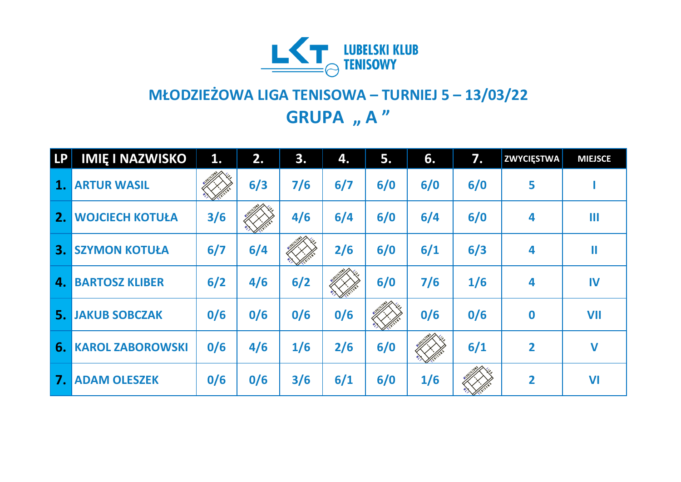

## **MŁODZIEŻOWA LIGA TENISOWA – TURNIEJ 5 – 13/03/22 GRUPA** "A"

| LP | <b>IMIĘ I NAZWISKO</b>  | 1.  | 2.  | 3.  | 4.  | 5.  | 6.  | 7.  | <b>ZWYCIĘSTWA</b> | <b>MIEJSCE</b> |
|----|-------------------------|-----|-----|-----|-----|-----|-----|-----|-------------------|----------------|
| 1. | <b>ARTUR WASIL</b>      |     | 6/3 | 7/6 | 6/7 | 6/0 | 6/0 | 6/0 | 5                 |                |
| 2. | <b>WOJCIECH KOTUŁA</b>  | 3/6 |     | 4/6 | 6/4 | 6/0 | 6/4 | 6/0 | 4                 | Ш              |
| 3. | <b>SZYMON KOTUŁA</b>    | 6/7 | 6/4 |     | 2/6 | 6/0 | 6/1 | 6/3 | 4                 | Ш              |
| 4. | <b>BARTOSZ KLIBER</b>   | 6/2 | 4/6 | 6/2 |     | 6/0 | 7/6 | 1/6 | 4                 | IV             |
| 5. | <b>JAKUB SOBCZAK</b>    | 0/6 | 0/6 | 0/6 | 0/6 |     | 0/6 | 0/6 | $\mathbf 0$       | <b>VII</b>     |
| 6. | <b>KAROL ZABOROWSKI</b> | 0/6 | 4/6 | 1/6 | 2/6 | 6/0 |     | 6/1 | $\overline{2}$    | $\mathbf v$    |
| 7. | <b>ADAM OLESZEK</b>     | 0/6 | 0/6 | 3/6 | 6/1 | 6/0 | 1/6 |     | $\overline{2}$    | VI             |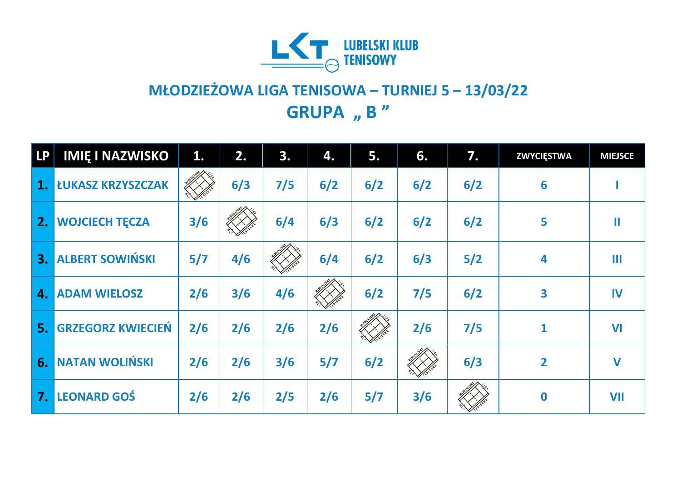

## **MŁODZIEŻOWA LIGA TENISOWA – TURNIEJ 5 – 13/03/22 GRUPA** , **B** "

| <b>LP</b> | <b>IMIĘ I NAZWISKO</b>   | 1.  | 2.  | 3.  | 4.  | 5.  | 6.  | 7.    | <b>ZWYCIĘSTWA</b>       | <b>MIEJSCE</b> |
|-----------|--------------------------|-----|-----|-----|-----|-----|-----|-------|-------------------------|----------------|
| 1.        | <b>ŁUKASZ KRZYSZCZAK</b> |     | 6/3 | 7/5 | 6/2 | 6/2 | 6/2 | 6/2   | 6                       |                |
| 2.        | <b>WOJCIECH TĘCZA</b>    | 3/6 |     | 6/4 | 6/3 | 6/2 | 6/2 | 6/2   | 5                       | Ш              |
| 3.        | <b>ALBERT SOWIŃSKI</b>   | 5/7 | 4/6 |     | 6/4 | 6/2 | 6/3 | $5/2$ | 4                       | Ш              |
| 4.        | <b>ADAM WIELOSZ</b>      | 2/6 | 3/6 | 4/6 |     | 6/2 | 7/5 | 6/2   | 3                       | IV             |
| 5.        | <b>GRZEGORZ KWIECIEŃ</b> | 2/6 | 2/6 | 2/6 | 2/6 |     | 2/6 | 7/5   | $\mathbf{1}$            | <b>VI</b>      |
| 6.        | <b>NATAN WOLIŃSKI</b>    | 2/6 | 2/6 | 3/6 | 5/7 | 6/2 |     | 6/3   | $\overline{\mathbf{2}}$ | $\mathbf V$    |
| 7.        | <b>LEONARD GOŚ</b>       | 2/6 | 2/6 | 2/5 | 2/6 | 5/7 | 3/6 |       | $\bf{0}$                | <b>VII</b>     |